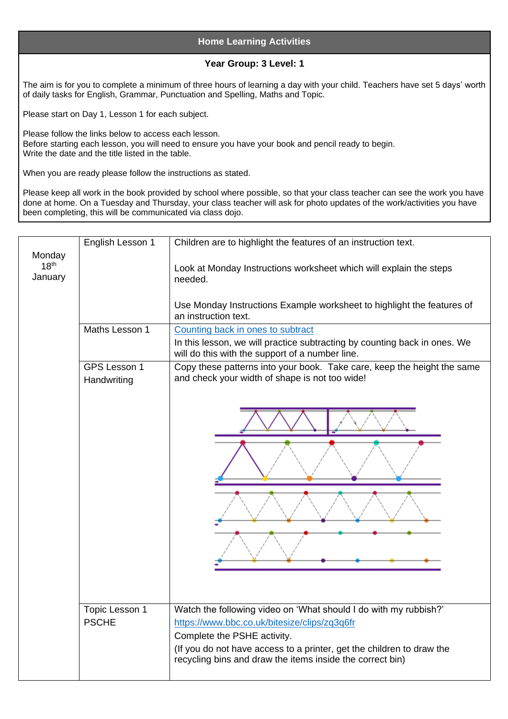## **Home Learning Activities**

## **Year Group: 3 Level: 1**

The aim is for you to complete a minimum of three hours of learning a day with your child. Teachers have set 5 days' worth of daily tasks for English, Grammar, Punctuation and Spelling, Maths and Topic.

Please start on Day 1, Lesson 1 for each subject.

Please follow the links below to access each lesson. Before starting each lesson, you will need to ensure you have your book and pencil ready to begin. Write the date and the title listed in the table.

When you are ready please follow the instructions as stated.

Please keep all work in the book provided by school where possible, so that your class teacher can see the work you have done at home. On a Tuesday and Thursday, your class teacher will ask for photo updates of the work/activities you have been completing, this will be communicated via class dojo.

|                                       | English Lesson 1               | Children are to highlight the features of an instruction text.                                                                                                                                                                                                                        |
|---------------------------------------|--------------------------------|---------------------------------------------------------------------------------------------------------------------------------------------------------------------------------------------------------------------------------------------------------------------------------------|
| Monday<br>18 <sup>th</sup><br>January |                                | Look at Monday Instructions worksheet which will explain the steps<br>needed.                                                                                                                                                                                                         |
|                                       |                                | Use Monday Instructions Example worksheet to highlight the features of<br>an instruction text.                                                                                                                                                                                        |
|                                       | Maths Lesson 1                 | Counting back in ones to subtract                                                                                                                                                                                                                                                     |
|                                       |                                | In this lesson, we will practice subtracting by counting back in ones. We<br>will do this with the support of a number line.                                                                                                                                                          |
|                                       | GPS Lesson 1<br>Handwriting    | Copy these patterns into your book. Take care, keep the height the same<br>and check your width of shape is not too wide!                                                                                                                                                             |
|                                       |                                |                                                                                                                                                                                                                                                                                       |
|                                       | Topic Lesson 1<br><b>PSCHE</b> | Watch the following video on 'What should I do with my rubbish?'<br>https://www.bbc.co.uk/bitesize/clips/zq3q6fr<br>Complete the PSHE activity.<br>(If you do not have access to a printer, get the children to draw the<br>recycling bins and draw the items inside the correct bin) |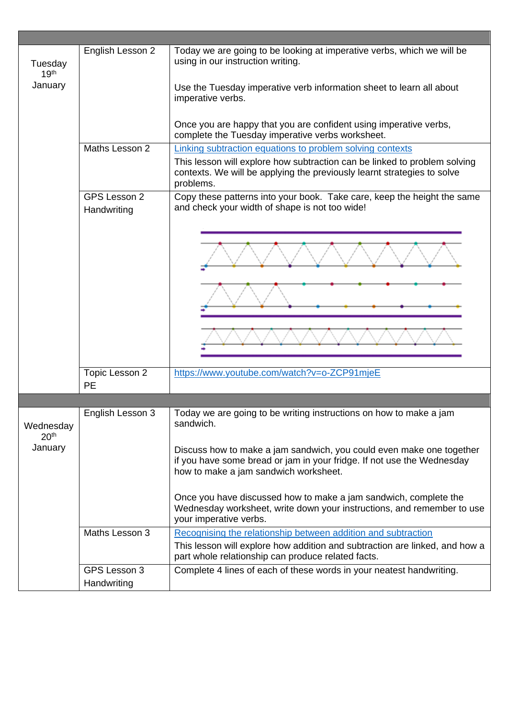| Tuesday<br>19 <sup>th</sup><br>January   | English Lesson 2            | Today we are going to be looking at imperative verbs, which we will be<br>using in our instruction writing.<br>Use the Tuesday imperative verb information sheet to learn all about<br>imperative verbs.<br>Once you are happy that you are confident using imperative verbs, |
|------------------------------------------|-----------------------------|-------------------------------------------------------------------------------------------------------------------------------------------------------------------------------------------------------------------------------------------------------------------------------|
|                                          |                             | complete the Tuesday imperative verbs worksheet.                                                                                                                                                                                                                              |
|                                          | Maths Lesson 2              | Linking subtraction equations to problem solving contexts<br>This lesson will explore how subtraction can be linked to problem solving<br>contexts. We will be applying the previously learnt strategies to solve<br>problems.                                                |
|                                          | GPS Lesson 2<br>Handwriting | Copy these patterns into your book. Take care, keep the height the same<br>and check your width of shape is not too wide!                                                                                                                                                     |
|                                          |                             |                                                                                                                                                                                                                                                                               |
|                                          | Topic Lesson 2<br>PE        | https://www.youtube.com/watch?v=o-ZCP91mjeE                                                                                                                                                                                                                                   |
|                                          |                             |                                                                                                                                                                                                                                                                               |
| Wednesday<br>20 <sup>th</sup><br>January | English Lesson 3            | Today we are going to be writing instructions on how to make a jam<br>sandwich.<br>Discuss how to make a jam sandwich, you could even make one together<br>if you have some bread or jam in your fridge. If not use the Wednesday                                             |
|                                          |                             | how to make a jam sandwich worksheet.<br>Once you have discussed how to make a jam sandwich, complete the<br>Wednesday worksheet, write down your instructions, and remember to use<br>your imperative verbs.                                                                 |
|                                          | Maths Lesson 3              | Recognising the relationship between addition and subtraction<br>This lesson will explore how addition and subtraction are linked, and how a<br>part whole relationship can produce related facts.                                                                            |
|                                          | GPS Lesson 3<br>Handwriting | Complete 4 lines of each of these words in your neatest handwriting.                                                                                                                                                                                                          |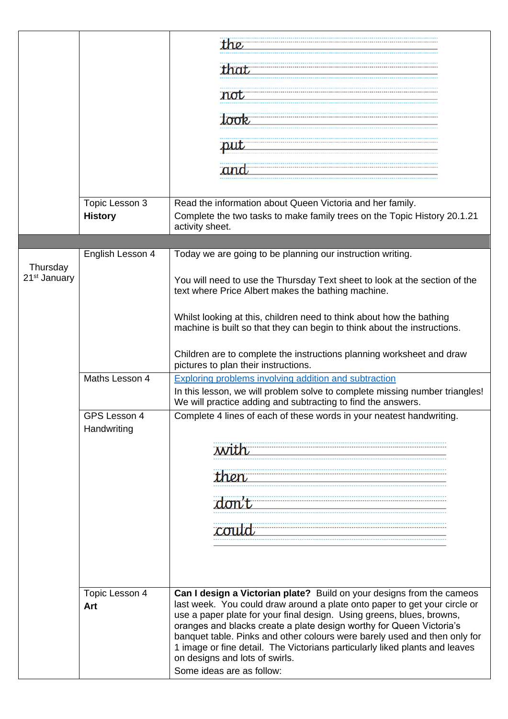|                                      |                                  | the                                                                                                                                                                                                                                                                                                                                                                                                                                                                                                                            |
|--------------------------------------|----------------------------------|--------------------------------------------------------------------------------------------------------------------------------------------------------------------------------------------------------------------------------------------------------------------------------------------------------------------------------------------------------------------------------------------------------------------------------------------------------------------------------------------------------------------------------|
|                                      |                                  | that                                                                                                                                                                                                                                                                                                                                                                                                                                                                                                                           |
|                                      |                                  | not                                                                                                                                                                                                                                                                                                                                                                                                                                                                                                                            |
|                                      |                                  | took                                                                                                                                                                                                                                                                                                                                                                                                                                                                                                                           |
|                                      |                                  | put                                                                                                                                                                                                                                                                                                                                                                                                                                                                                                                            |
|                                      |                                  | ana                                                                                                                                                                                                                                                                                                                                                                                                                                                                                                                            |
|                                      | Topic Lesson 3<br><b>History</b> | Read the information about Queen Victoria and her family.<br>Complete the two tasks to make family trees on the Topic History 20.1.21<br>activity sheet.                                                                                                                                                                                                                                                                                                                                                                       |
|                                      |                                  |                                                                                                                                                                                                                                                                                                                                                                                                                                                                                                                                |
| Thursday<br>21 <sup>st</sup> January | English Lesson 4                 | Today we are going to be planning our instruction writing.                                                                                                                                                                                                                                                                                                                                                                                                                                                                     |
|                                      |                                  | You will need to use the Thursday Text sheet to look at the section of the<br>text where Price Albert makes the bathing machine.                                                                                                                                                                                                                                                                                                                                                                                               |
|                                      |                                  | Whilst looking at this, children need to think about how the bathing<br>machine is built so that they can begin to think about the instructions.                                                                                                                                                                                                                                                                                                                                                                               |
|                                      |                                  | Children are to complete the instructions planning worksheet and draw<br>pictures to plan their instructions.                                                                                                                                                                                                                                                                                                                                                                                                                  |
|                                      | Maths Lesson 4                   | Exploring problems involving addition and subtraction                                                                                                                                                                                                                                                                                                                                                                                                                                                                          |
|                                      |                                  | In this lesson, we will problem solve to complete missing number triangles!<br>We will practice adding and subtracting to find the answers.                                                                                                                                                                                                                                                                                                                                                                                    |
|                                      | GPS Lesson 4<br>Handwriting      | Complete 4 lines of each of these words in your neatest handwriting.                                                                                                                                                                                                                                                                                                                                                                                                                                                           |
|                                      |                                  |                                                                                                                                                                                                                                                                                                                                                                                                                                                                                                                                |
|                                      |                                  | then                                                                                                                                                                                                                                                                                                                                                                                                                                                                                                                           |
|                                      |                                  |                                                                                                                                                                                                                                                                                                                                                                                                                                                                                                                                |
|                                      |                                  |                                                                                                                                                                                                                                                                                                                                                                                                                                                                                                                                |
|                                      |                                  |                                                                                                                                                                                                                                                                                                                                                                                                                                                                                                                                |
|                                      | Topic Lesson 4<br>Art            | Can I design a Victorian plate? Build on your designs from the cameos<br>last week. You could draw around a plate onto paper to get your circle or<br>use a paper plate for your final design. Using greens, blues, browns,<br>oranges and blacks create a plate design worthy for Queen Victoria's<br>banquet table. Pinks and other colours were barely used and then only for<br>1 image or fine detail. The Victorians particularly liked plants and leaves<br>on designs and lots of swirls.<br>Some ideas are as follow: |